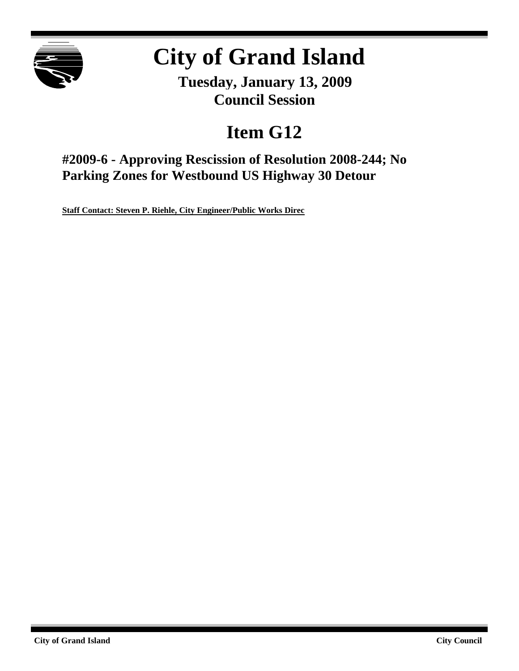

# **City of Grand Island**

**Tuesday, January 13, 2009 Council Session**

# **Item G12**

**#2009-6 - Approving Rescission of Resolution 2008-244; No Parking Zones for Westbound US Highway 30 Detour**

**Staff Contact: Steven P. Riehle, City Engineer/Public Works Direc**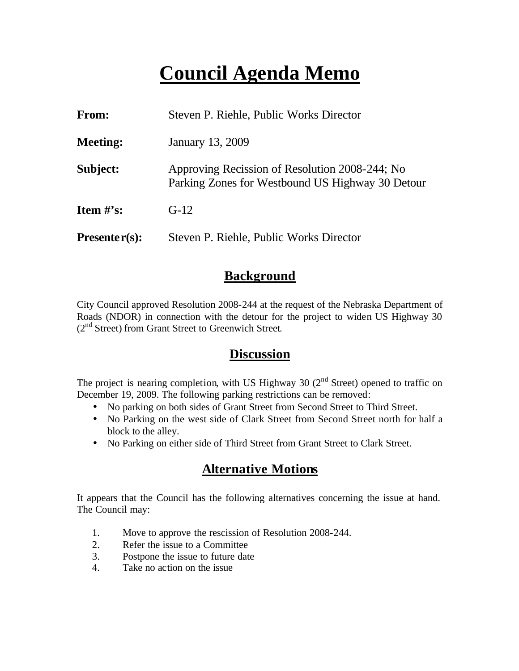## **Council Agenda Memo**

| From:           | Steven P. Riehle, Public Works Director                                                            |
|-----------------|----------------------------------------------------------------------------------------------------|
| <b>Meeting:</b> | January 13, 2009                                                                                   |
| Subject:        | Approving Recission of Resolution 2008-244; No<br>Parking Zones for Westbound US Highway 30 Detour |
| Item $\#$ 's:   | $G-12$                                                                                             |
| $Presenter(s):$ | Steven P. Riehle, Public Works Director                                                            |

#### **Background**

City Council approved Resolution 2008-244 at the request of the Nebraska Department of Roads (NDOR) in connection with the detour for the project to widen US Highway 30  $(2<sup>nd</sup> Street)$  from Grant Street to Greenwich Street.

#### **Discussion**

The project is nearing completion, with US Highway 30  $(2<sup>nd</sup> Street)$  opened to traffic on December 19, 2009. The following parking restrictions can be removed:

- No parking on both sides of Grant Street from Second Street to Third Street.
- No Parking on the west side of Clark Street from Second Street north for half a block to the alley.
- No Parking on either side of Third Street from Grant Street to Clark Street.

#### **Alternative Motions**

It appears that the Council has the following alternatives concerning the issue at hand. The Council may:

- 1. Move to approve the rescission of Resolution 2008-244.
- 2. Refer the issue to a Committee
- 3. Postpone the issue to future date
- 4. Take no action on the issue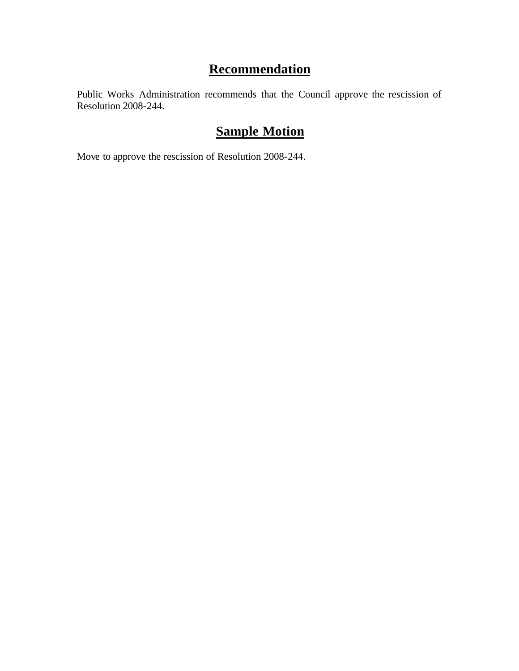### **Recommendation**

Public Works Administration recommends that the Council approve the rescission of Resolution 2008-244.

### **Sample Motion**

Move to approve the rescission of Resolution 2008-244.